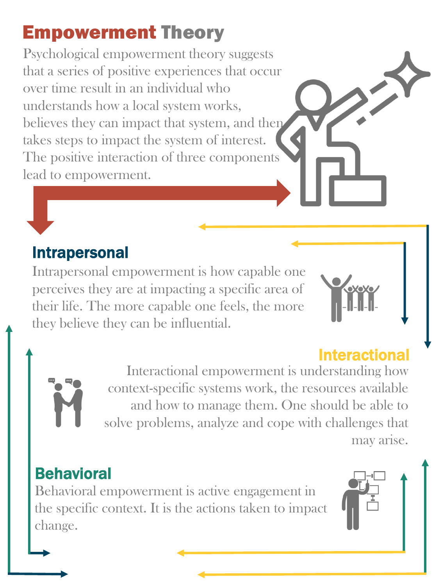# Empowerment Theory

Psychological empowerment theory suggests that a series of positive experiences that occur over time result in an individual who understands how a local system works, believes they can impact that system, and then takes steps to impact the system of interest. The positive interaction of three components lead to empowerment.

## Intrapersonal

Intrapersonal empowerment is how capable one perceives they are at impacting a specific area of their life. The more capable one feels, the more they believe they can be influential.



#### Interactional empowerment is understanding how context-specific systems work, the resources available and how to manage them. One should be able to solve problems, analyze and cope with challenges that may arise.

### **Behavioral**

Behavioral empowerment is active engagement in the specific context. It is the actions taken to impact change.